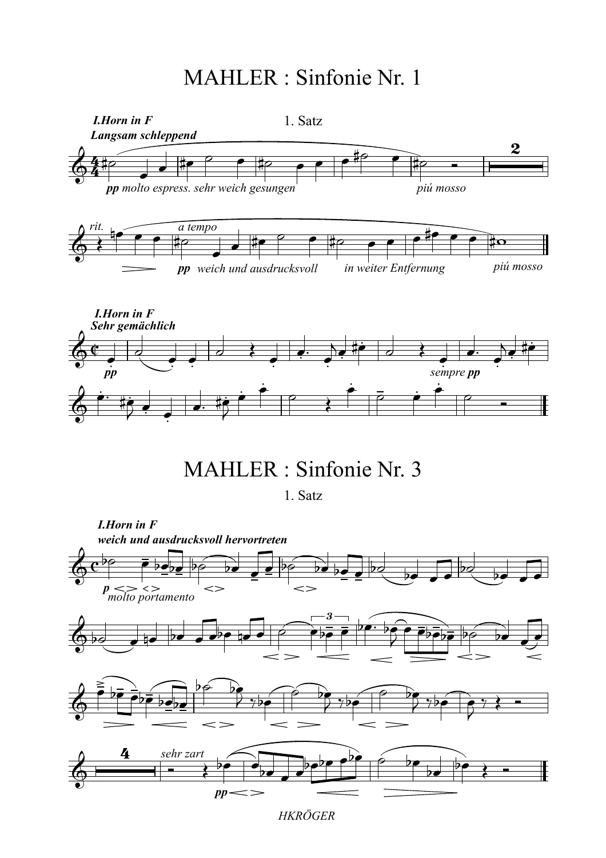

1. Satz

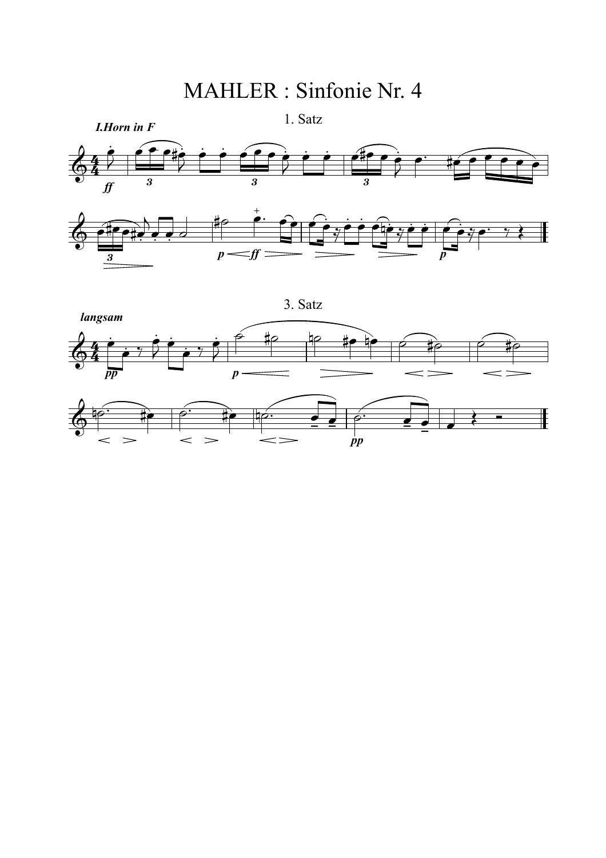

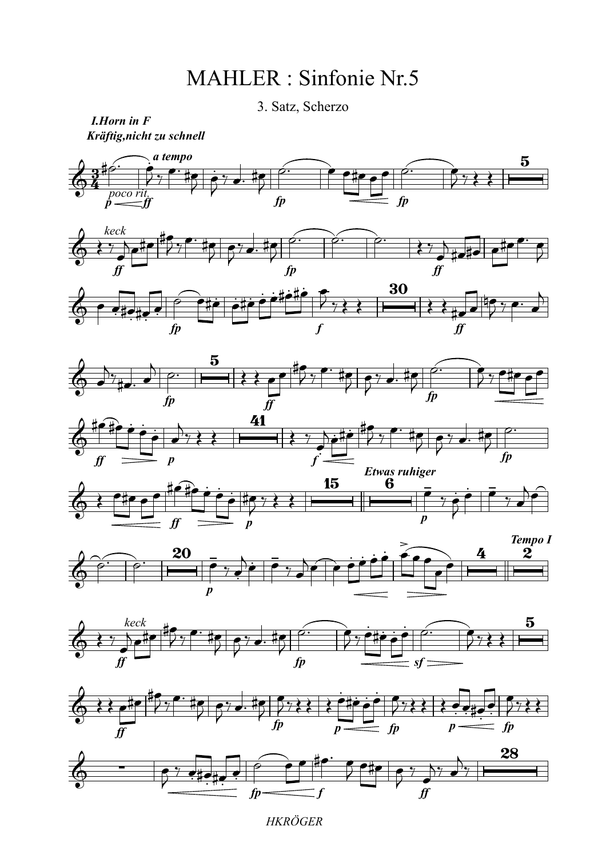3. Satz, Scherzo

*Kräftig,nicht zu schnell I.Horn in F*



*HKRÖGER*

*f*

*ff*

*fp*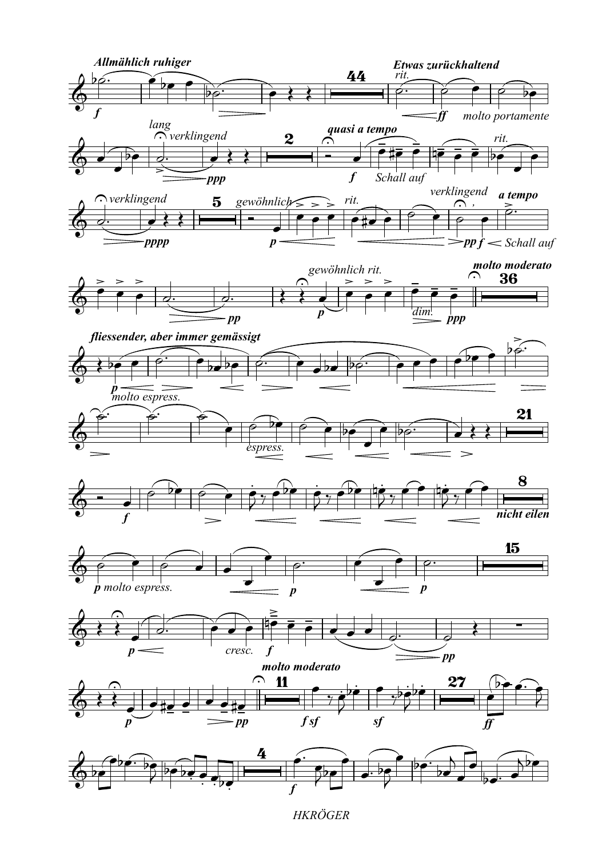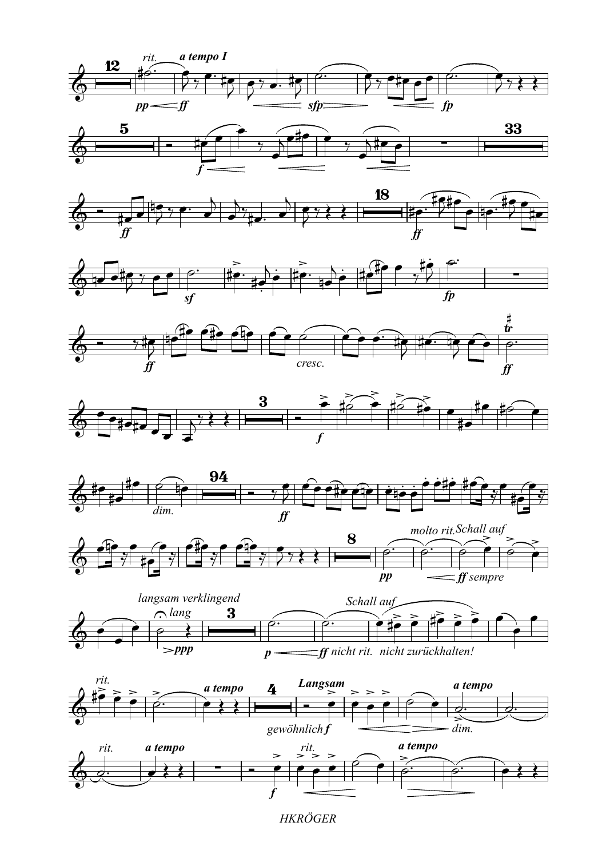

















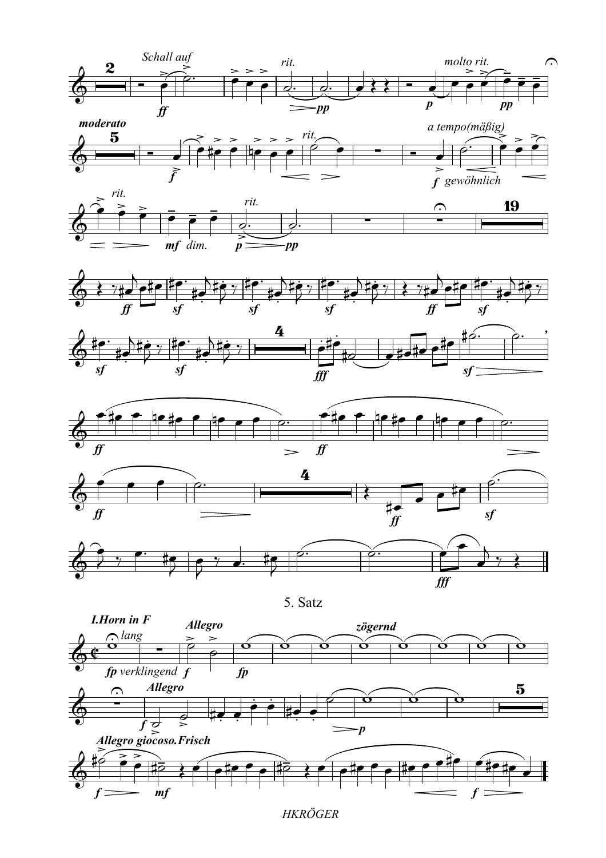















5. Satz

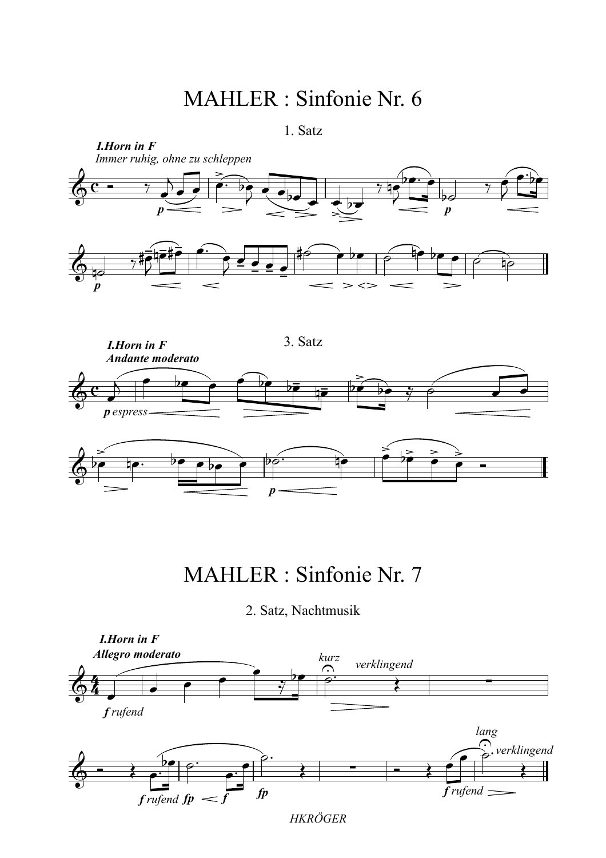<sup>1.</sup> Satz



## MAHLER : Sinfonie Nr. 7

2. Satz, Nachtmusik

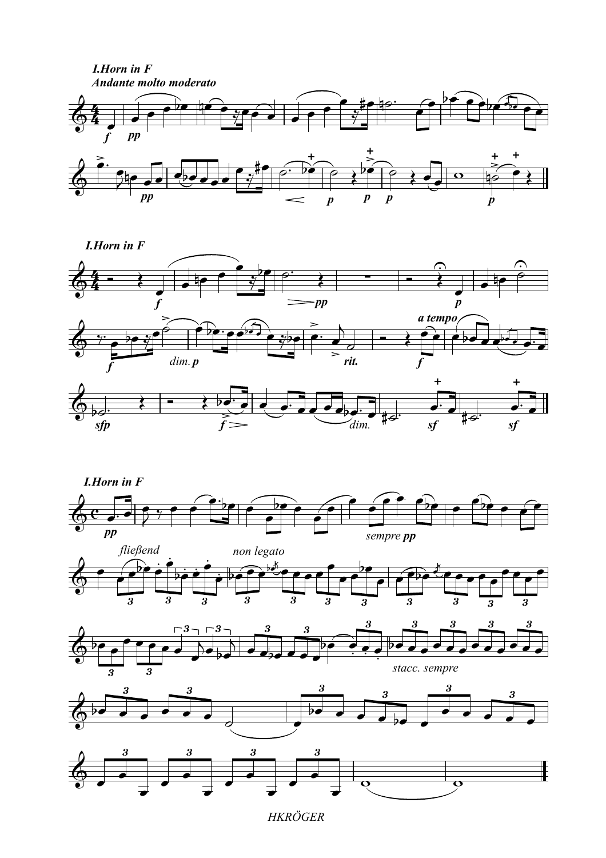